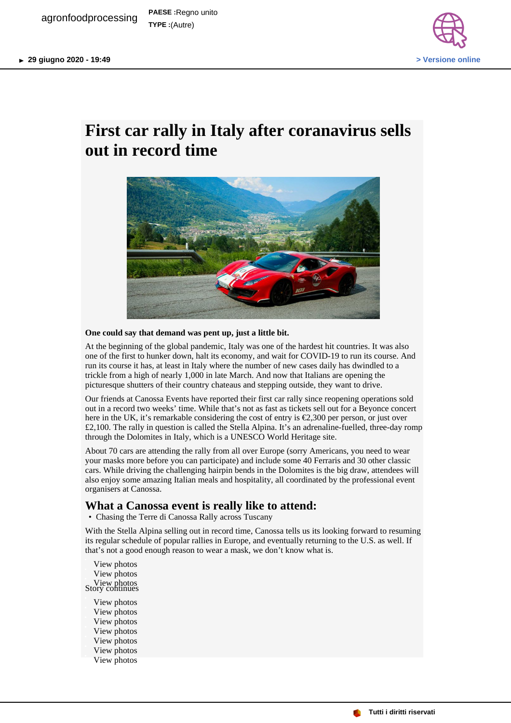

## **First car rally in Italy after coranavirus sells out in record time**



## **One could say that demand was pent up, just a little bit.**

At the beginning of the global pandemic, Italy was one of the hardest hit countries. It was also one of the first to hunker down, halt its economy, and wait for COVID-19 to run its course. And run its course it has, at least in Italy where the number of new cases daily has dwindled to a trickle from a high of nearly 1,000 in late March. And now that Italians are opening the picturesque shutters of their country chateaus and stepping outside, they want to drive.

Our friends at Canossa Events have reported their first car rally since reopening operations sold out in a record two weeks' time. While that's not as fast as tickets sell out for a Beyonce concert here in the UK, it's remarkable considering the cost of entry is €2,300 per person, or just over £2,100. The rally in question is called the Stella Alpina. It's an adrenaline-fuelled, three-day romp through the Dolomites in Italy, which is a UNESCO World Heritage site.

About 70 cars are attending the rally from all over Europe (sorry Americans, you need to wear your masks more before you can participate) and include some 40 Ferraris and 30 other classic cars. While driving the challenging hairpin bends in the Dolomites is the big draw, attendees will also enjoy some amazing Italian meals and hospitality, all coordinated by the professional event organisers at Canossa.

## **What a Canossa event is really like to attend:**

• Chasing the Terre di Canossa Rally across Tuscany

With the Stella Alpina selling out in record time, Canossa tells us its looking forward to resuming its regular schedule of popular rallies in Europe, and eventually returning to the U.S. as well. If that's not a good enough reason to wear a mask, we don't know what is.

- View photos View photos View photos Story continues
	- View photos View photos View photos View photos View photos View photos View photos